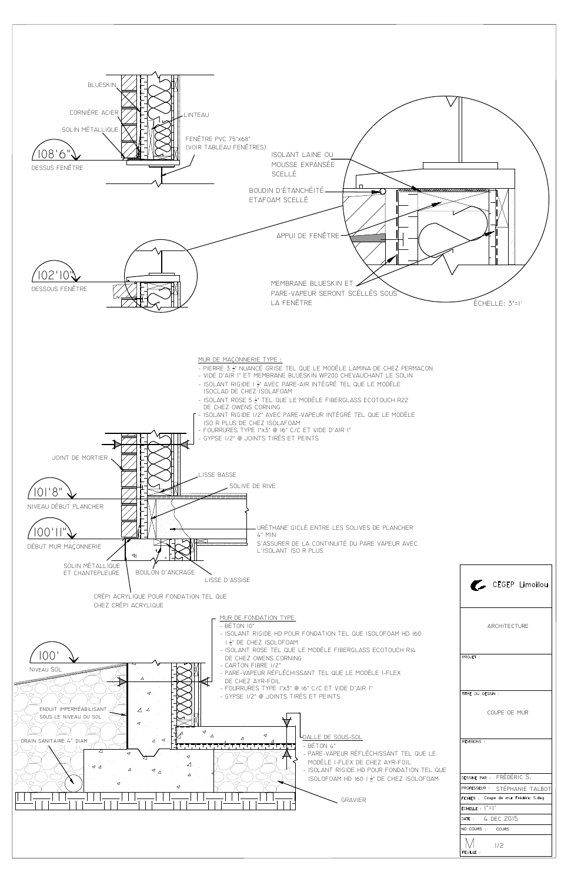